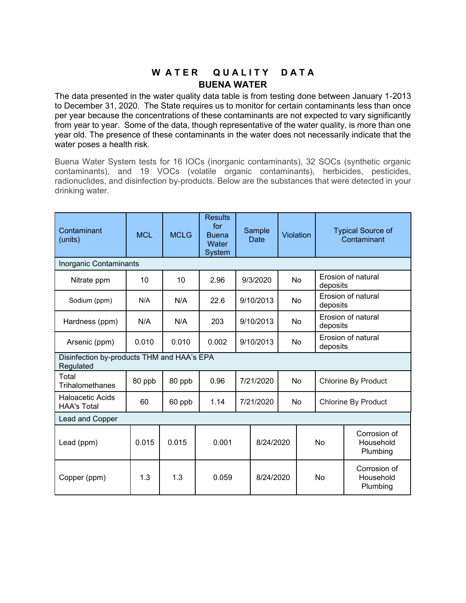## W A TER QUALITY DATA **BUENA WATER**

The data presented in the water quality data table is from testing done between January 1-2013 to December 31, 2020. The State requires us to monitor for certain contaminants less than once per year because the concentrations of these contaminants are not expected to vary significantly from year to year. Some of the data, though representative of the water quality, is more than one year old. The presence of these contaminants in the water does not necessarily indicate that the water poses a health risk.

Buena Water System tests for 16 IOCs (inorganic contaminants), 32 SOCs (synthetic organic contaminants), and 19 VOCs (volatile organic contaminants), herbicides, pesticides, radionuclides, and disinfection by-products. Below are the substances that were detected in your drinking water.

| Contaminant<br>(units)                                  | <b>MCL</b> | <b>MCLG</b> | <b>Results</b><br>for<br><b>Buena</b><br>Water<br><b>System</b> |           | Sample<br>Date | Violation |                     | <b>Typical Source of</b><br>Contaminant |                                       |
|---------------------------------------------------------|------------|-------------|-----------------------------------------------------------------|-----------|----------------|-----------|---------------------|-----------------------------------------|---------------------------------------|
| Inorganic Contaminants                                  |            |             |                                                                 |           |                |           |                     |                                         |                                       |
| Nitrate ppm                                             | 10         | 10          | 2.96                                                            |           | 9/3/2020       | No        |                     | Erosion of natural<br>deposits          |                                       |
| Sodium (ppm)                                            | N/A        | N/A         | 22.6                                                            |           | 9/10/2013      | No        |                     | Erosion of natural<br>deposits          |                                       |
| Hardness (ppm)                                          | N/A        | N/A         | 203                                                             |           | 9/10/2013      | No        |                     | Erosion of natural<br>deposits          |                                       |
| Arsenic (ppm)                                           | 0.010      | 0.010       | 0.002                                                           | 9/10/2013 |                | No        |                     | Erosion of natural<br>deposits          |                                       |
| Disinfection by-products THM and HAA's EPA<br>Regulated |            |             |                                                                 |           |                |           |                     |                                         |                                       |
| Total<br>Trihalomethanes                                | 80 ppb     | 80 ppb      | 0.96                                                            | 7/21/2020 |                | No        | Chlorine By Product |                                         |                                       |
| <b>Haloacetic Acids</b><br><b>HAA's Total</b>           | 60         | 60 ppb      | 1.14                                                            |           | 7/21/2020      |           | No                  | <b>Chlorine By Product</b>              |                                       |
| Lead and Copper                                         |            |             |                                                                 |           |                |           |                     |                                         |                                       |
| Lead (ppm)                                              | 0.015      | 0.015       | 0.001                                                           | 8/24/2020 |                |           | No                  |                                         | Corrosion of<br>Household<br>Plumbing |
| Copper (ppm)                                            | 1.3        | 1.3         | 0.059                                                           |           | 8/24/2020      |           | No                  |                                         | Corrosion of<br>Household<br>Plumbing |